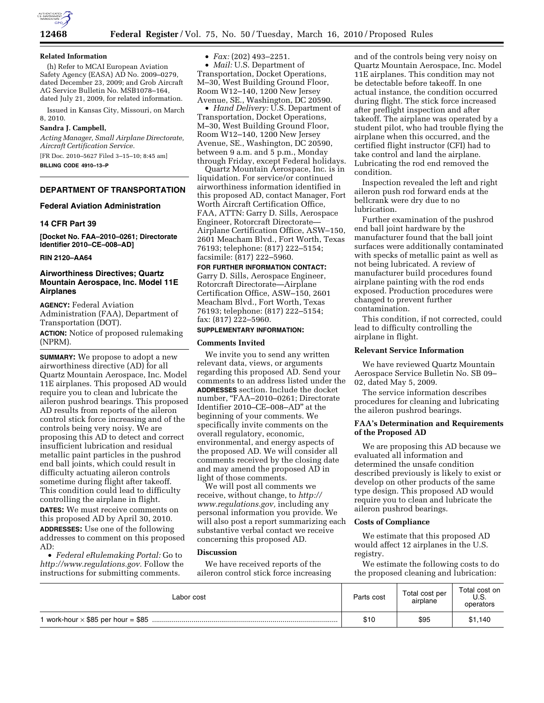

#### **Related Information**

(h) Refer to MCAI European Aviation Safety Agency (EASA) AD No. 2009–0279, dated December 23, 2009; and Grob Aircraft AG Service Bulletin No. MSB1078–164, dated July 21, 2009, for related information.

Issued in Kansas City, Missouri, on March 8, 2010.

#### **Sandra J. Campbell,**

*Acting Manager, Small Airplane Directorate, Aircraft Certification Service.*  [FR Doc. 2010–5627 Filed 3–15–10; 8:45 am]

**BILLING CODE 4910–13–P** 

#### **DEPARTMENT OF TRANSPORTATION**

### **Federal Aviation Administration**

# **14 CFR Part 39**

**[Docket No. FAA–2010–0261; Directorate Identifier 2010–CE–008–AD]** 

### **RIN 2120–AA64**

## **Airworthiness Directives; Quartz Mountain Aerospace, Inc. Model 11E Airplanes**

**AGENCY:** Federal Aviation Administration (FAA), Department of Transportation (DOT).

**ACTION:** Notice of proposed rulemaking (NPRM).

**SUMMARY:** We propose to adopt a new airworthiness directive (AD) for all Quartz Mountain Aerospace, Inc. Model 11E airplanes. This proposed AD would require you to clean and lubricate the aileron pushrod bearings. This proposed AD results from reports of the aileron control stick force increasing and of the controls being very noisy. We are proposing this AD to detect and correct insufficient lubrication and residual metallic paint particles in the pushrod end ball joints, which could result in difficulty actuating aileron controls sometime during flight after takeoff. This condition could lead to difficulty controlling the airplane in flight.

**DATES:** We must receive comments on this proposed AD by April 30, 2010. **ADDRESSES:** Use one of the following addresses to comment on this proposed AD:

• *Federal eRulemaking Portal:* Go to *http://www.regulations.gov.* Follow the instructions for submitting comments.

• *Fax:* (202) 493–2251.

• *Mail:* U.S. Department of Transportation, Docket Operations, M–30, West Building Ground Floor, Room W12–140, 1200 New Jersey Avenue, SE., Washington, DC 20590.

• *Hand Delivery:* U.S. Department of Transportation, Docket Operations, M–30, West Building Ground Floor, Room W12–140, 1200 New Jersey Avenue, SE., Washington, DC 20590, between 9 a.m. and 5 p.m., Monday through Friday, except Federal holidays.

Quartz Mountain Aerospace, Inc. is in liquidation. For service/or continued airworthiness information identified in this proposed AD, contact Manager, Fort Worth Aircraft Certification Office, FAA, ATTN: Garry D. Sills, Aerospace Engineer, Rotorcraft Directorate— Airplane Certification Office, ASW–150, 2601 Meacham Blvd., Fort Worth, Texas 76193; telephone: (817) 222–5154; facsimile: (817) 222–5960.

**FOR FURTHER INFORMATION CONTACT:**  Garry D. Sills, Aerospace Engineer, Rotorcraft Directorate—Airplane Certification Office, ASW–150, 2601 Meacham Blvd., Fort Worth, Texas 76193; telephone: (817) 222–5154; fax: (817) 222–5960.

# **SUPPLEMENTARY INFORMATION:**

## **Comments Invited**

We invite you to send any written relevant data, views, or arguments regarding this proposed AD. Send your comments to an address listed under the **ADDRESSES** section. Include the docket number, ''FAA–2010–0261; Directorate Identifier 2010–CE–008–AD'' at the beginning of your comments. We specifically invite comments on the overall regulatory, economic, environmental, and energy aspects of the proposed AD. We will consider all comments received by the closing date and may amend the proposed AD in light of those comments.

We will post all comments we receive, without change, to *http:// www.regulations.gov,* including any personal information you provide. We will also post a report summarizing each substantive verbal contact we receive concerning this proposed AD.

### **Discussion**

We have received reports of the aileron control stick force increasing

and of the controls being very noisy on Quartz Mountain Aerospace, Inc. Model 11E airplanes. This condition may not be detectable before takeoff. In one actual instance, the condition occurred during flight. The stick force increased after preflight inspection and after takeoff. The airplane was operated by a student pilot, who had trouble flying the airplane when this occurred, and the certified flight instructor (CFI) had to take control and land the airplane. Lubricating the rod end removed the condition.

Inspection revealed the left and right aileron push rod forward ends at the bellcrank were dry due to no lubrication.

Further examination of the pushrod end ball joint hardware by the manufacturer found that the ball joint surfaces were additionally contaminated with specks of metallic paint as well as not being lubricated. A review of manufacturer build procedures found airplane painting with the rod ends exposed. Production procedures were changed to prevent further contamination.

This condition, if not corrected, could lead to difficulty controlling the airplane in flight.

# **Relevant Service Information**

We have reviewed Quartz Mountain Aerospace Service Bulletin No. SB 09– 02, dated May 5, 2009.

The service information describes procedures for cleaning and lubricating the aileron pushrod bearings.

# **FAA's Determination and Requirements of the Proposed AD**

We are proposing this AD because we evaluated all information and determined the unsafe condition described previously is likely to exist or develop on other products of the same type design. This proposed AD would require you to clean and lubricate the aileron pushrod bearings.

### **Costs of Compliance**

We estimate that this proposed AD would affect 12 airplanes in the U.S. registry.

We estimate the following costs to do the proposed cleaning and lubrication:

| Labor cost | Parts cost | Total cost per<br>airplane | Total cost on<br>U.S.<br>operators |
|------------|------------|----------------------------|------------------------------------|
|            | \$10       | \$95                       | \$1,140                            |